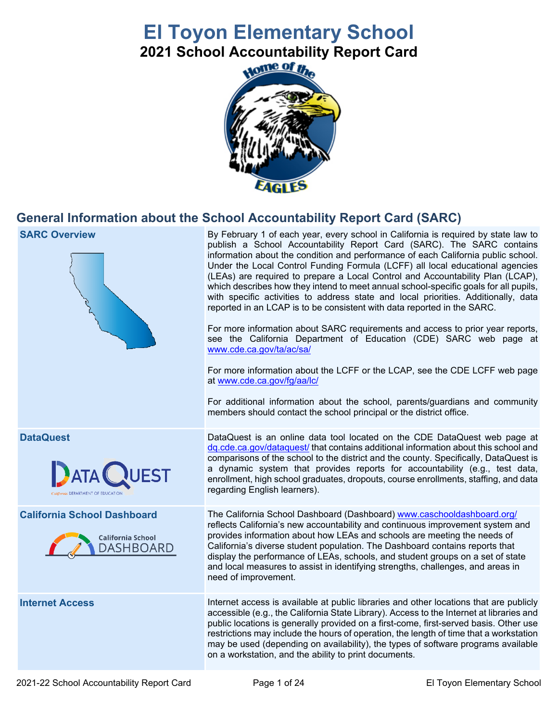# **El Toyon Elementary School**

**2021 School Accountability Report Card** 



# **General Information about the School Accountability Report Card (SARC)**

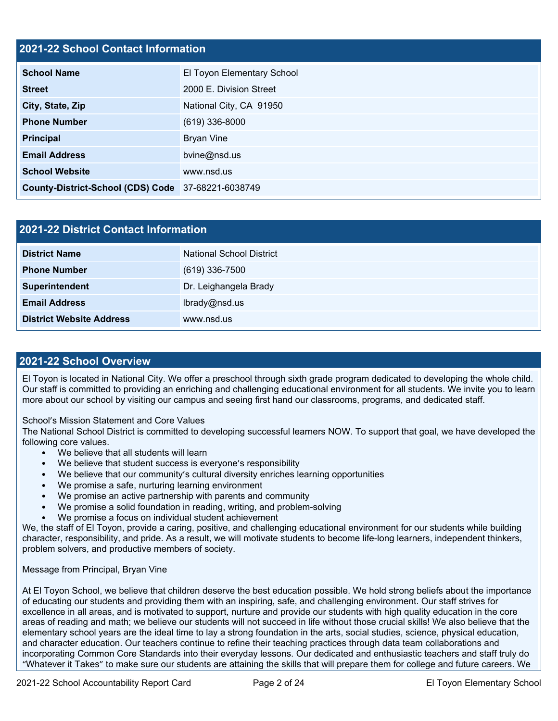#### **2021-22 School Contact Information**

| <b>School Name</b>                                 | El Toyon Elementary School |  |  |  |
|----------------------------------------------------|----------------------------|--|--|--|
| <b>Street</b>                                      | 2000 E. Division Street    |  |  |  |
| City, State, Zip                                   | National City, CA 91950    |  |  |  |
| <b>Phone Number</b>                                | $(619)$ 336-8000           |  |  |  |
| <b>Principal</b>                                   | <b>Bryan Vine</b>          |  |  |  |
| <b>Email Address</b>                               | bvine@nsd.us               |  |  |  |
| <b>School Website</b>                              | www.nsd.us                 |  |  |  |
| County-District-School (CDS) Code 37-68221-6038749 |                            |  |  |  |

| 2021-22 District Contact Information |                                 |  |
|--------------------------------------|---------------------------------|--|
| <b>District Name</b>                 | <b>National School District</b> |  |
| <b>Phone Number</b>                  | $(619)$ 336-7500                |  |
| Superintendent                       | Dr. Leighangela Brady           |  |
| <b>Email Address</b>                 | lbrady@nsd.us                   |  |
| <b>District Website Address</b>      | www.nsd.us                      |  |

#### **2021-22 School Overview**

El Toyon is located in National City. We offer a preschool through sixth grade program dedicated to developing the whole child. Our staff is committed to providing an enriching and challenging educational environment for all students. We invite you to learn more about our school by visiting our campus and seeing first hand our classrooms, programs, and dedicated staff.

School's Mission Statement and Core Values

The National School District is committed to developing successful learners NOW. To support that goal, we have developed the following core values.

- We believe that all students will learn
- We believe that student success is everyone's responsibility
- We believe that our community's cultural diversity enriches learning opportunities
- We promise a safe, nurturing learning environment
- We promise an active partnership with parents and community
- We promise a solid foundation in reading, writing, and problem-solving
- We promise a focus on individual student achievement

 character, responsibility, and pride. As a result, we will motivate students to become life-long learners, independent thinkers, We, the staff of El Toyon, provide a caring, positive, and challenging educational environment for our students while building problem solvers, and productive members of society.

#### Message from Principal, Bryan Vine

 elementary school years are the ideal time to lay a strong foundation in the arts, social studies, science, physical education, incorporating Common Core Standards into their everyday lessons. Our dedicated and enthusiastic teachers and staff truly do At El Toyon School, we believe that children deserve the best education possible. We hold strong beliefs about the importance of educating our students and providing them with an inspiring, safe, and challenging environment. Our staff strives for excellence in all areas, and is motivated to support, nurture and provide our students with high quality education in the core areas of reading and math; we believe our students will not succeed in life without those crucial skills! We also believe that the and character education. Our teachers continue to refine their teaching practices through data team collaborations and "Whatever it Takes" to make sure our students are attaining the skills that will prepare them for college and future careers. We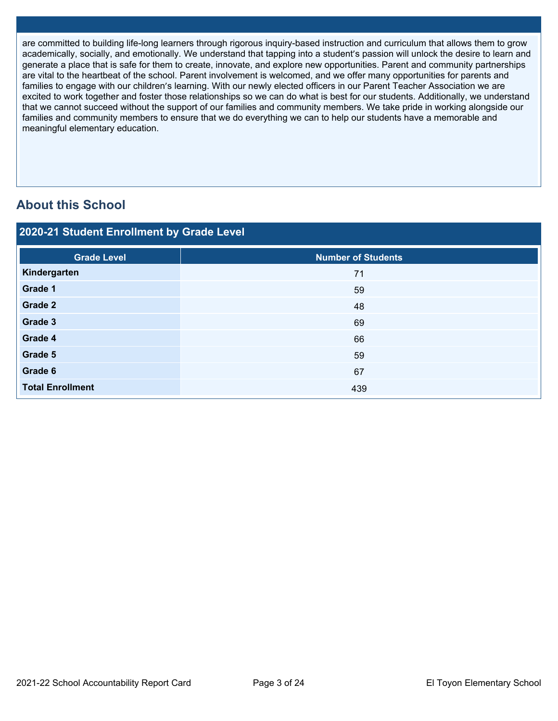are committed to building life-long learners through rigorous inquiry-based instruction and curriculum that allows them to grow academically, socially, and emotionally. We understand that tapping into a student's passion will unlock the desire to learn and generate a place that is safe for them to create, innovate, and explore new opportunities. Parent and community partnerships are vital to the heartbeat of the school. Parent involvement is welcomed, and we offer many opportunities for parents and families to engage with our children's learning. With our newly elected officers in our Parent Teacher Association we are excited to work together and foster those relationships so we can do what is best for our students. Additionally, we understand that we cannot succeed without the support of our families and community members. We take pride in working alongside our families and community members to ensure that we do everything we can to help our students have a memorable and meaningful elementary education.

# **About this School**

| 2020-21 Student Enrollment by Grade Level |                                            |  |  |  |
|-------------------------------------------|--------------------------------------------|--|--|--|
| <b>Grade Level</b>                        | <b>Number of Students</b>                  |  |  |  |
| Kindergarten                              | 71                                         |  |  |  |
| Grade 1                                   | 59                                         |  |  |  |
| Grade 2                                   | 48                                         |  |  |  |
| Grade 3                                   | 69                                         |  |  |  |
| Grade 4                                   | 66                                         |  |  |  |
| Grade 5                                   | 59                                         |  |  |  |
| Grade 6                                   | 67                                         |  |  |  |
| <b>Total Enrollment</b>                   | 439                                        |  |  |  |
|                                           |                                            |  |  |  |
| 2021-22 School Accountability Report Card | El Toyon Elementary School<br>Page 3 of 24 |  |  |  |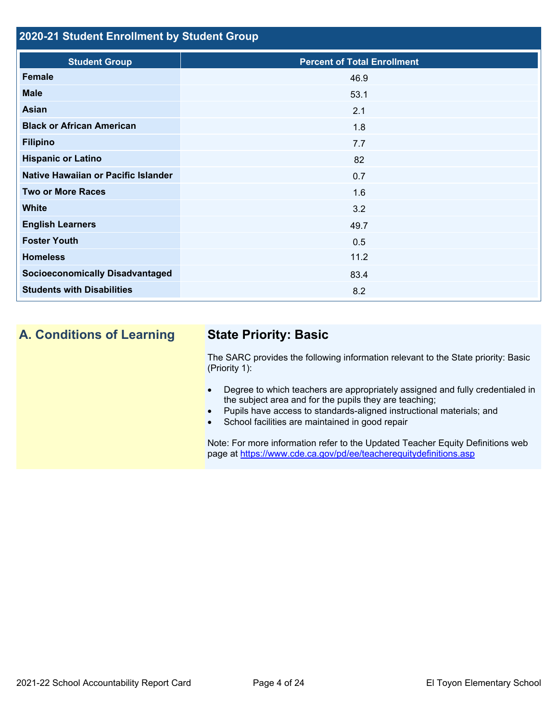### **2020-21 Student Enrollment by Student Group**

| <b>Student Group</b>                   | <b>Percent of Total Enrollment</b> |
|----------------------------------------|------------------------------------|
| Female                                 | 46.9                               |
| <b>Male</b>                            | 53.1                               |
| <b>Asian</b>                           | 2.1                                |
| <b>Black or African American</b>       | 1.8                                |
| <b>Filipino</b>                        | 7.7                                |
| <b>Hispanic or Latino</b>              | 82                                 |
| Native Hawaiian or Pacific Islander    | 0.7                                |
| <b>Two or More Races</b>               | 1.6                                |
| <b>White</b>                           | 3.2                                |
| <b>English Learners</b>                | 49.7                               |
| <b>Foster Youth</b>                    | 0.5                                |
| <b>Homeless</b>                        | 11.2                               |
| <b>Socioeconomically Disadvantaged</b> | 83.4                               |
| <b>Students with Disabilities</b>      | 8.2                                |

# **A. Conditions of Learning State Priority: Basic**

The SARC provides the following information relevant to the State priority: Basic (Priority 1):

- Degree to which teachers are appropriately assigned and fully credentialed in the subject area and for the pupils they are teaching;
- Pupils have access to standards-aligned instructional materials; and
- School facilities are maintained in good repair

page at <https://www.cde.ca.gov/pd/ee/teacherequitydefinitions.asp> Note: For more information refer to the Updated Teacher Equity Definitions web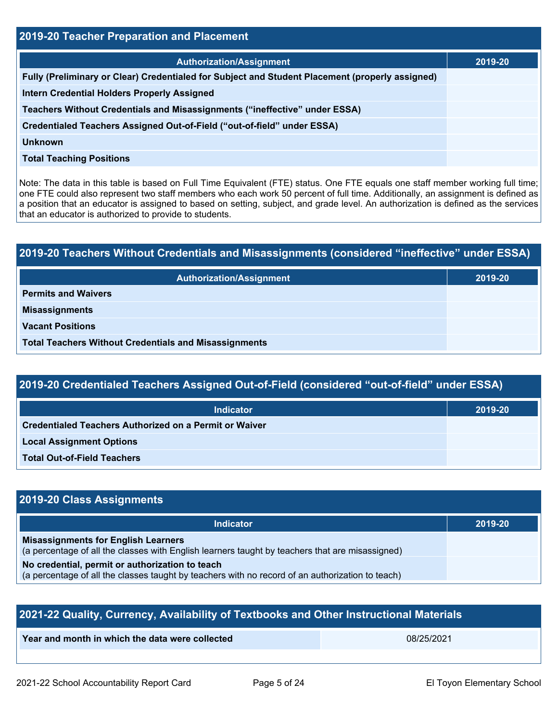| 2019-20 Teacher Preparation and Placement                                                                                                                                                                                                                                                                                                                                                                                                                         |         |  |  |
|-------------------------------------------------------------------------------------------------------------------------------------------------------------------------------------------------------------------------------------------------------------------------------------------------------------------------------------------------------------------------------------------------------------------------------------------------------------------|---------|--|--|
| <b>Authorization/Assignment</b>                                                                                                                                                                                                                                                                                                                                                                                                                                   | 2019-20 |  |  |
| Fully (Preliminary or Clear) Credentialed for Subject and Student Placement (properly assigned)                                                                                                                                                                                                                                                                                                                                                                   |         |  |  |
| Intern Credential Holders Properly Assigned                                                                                                                                                                                                                                                                                                                                                                                                                       |         |  |  |
| Teachers Without Credentials and Misassignments ("ineffective" under ESSA)                                                                                                                                                                                                                                                                                                                                                                                        |         |  |  |
| Credentialed Teachers Assigned Out-of-Field ("out-of-field" under ESSA)                                                                                                                                                                                                                                                                                                                                                                                           |         |  |  |
| <b>Unknown</b>                                                                                                                                                                                                                                                                                                                                                                                                                                                    |         |  |  |
| <b>Total Teaching Positions</b>                                                                                                                                                                                                                                                                                                                                                                                                                                   |         |  |  |
| Note: The data in this table is based on Full Time Equivalent (FTE) status. One FTE equals one staff member working full time;<br>one FTE could also represent two staff members who each work 50 percent of full time. Additionally, an assignment is defined as<br>a position that an educator is assigned to based on setting, subject, and grade level. An authorization is defined as the services<br>that an educator is authorized to provide to students. |         |  |  |
|                                                                                                                                                                                                                                                                                                                                                                                                                                                                   |         |  |  |
| 2019-20 Teachers Without Credentials and Misassignments (considered "ineffective" under ESSA)                                                                                                                                                                                                                                                                                                                                                                     |         |  |  |
| <b>Authorization/Assignment</b>                                                                                                                                                                                                                                                                                                                                                                                                                                   | 2019-20 |  |  |
| <b>Permits and Waivers</b>                                                                                                                                                                                                                                                                                                                                                                                                                                        |         |  |  |
| <b>Misassignments</b>                                                                                                                                                                                                                                                                                                                                                                                                                                             |         |  |  |
| <b>Vacant Positions</b>                                                                                                                                                                                                                                                                                                                                                                                                                                           |         |  |  |

| 2019-20 Teachers Without Credentials and Misassignments (considered "ineffective" under ESSA) |         |  |  |
|-----------------------------------------------------------------------------------------------|---------|--|--|
| <b>Authorization/Assignment</b>                                                               | 2019-20 |  |  |
| <b>Permits and Waivers</b>                                                                    |         |  |  |
| <b>Misassignments</b>                                                                         |         |  |  |
| <b>Vacant Positions</b>                                                                       |         |  |  |
| <b>Total Teachers Without Credentials and Misassignments</b>                                  |         |  |  |

| 2019-20 Credentialed Teachers Assigned Out-of-Field (considered "out-of-field" under ESSA) |
|--------------------------------------------------------------------------------------------|
|--------------------------------------------------------------------------------------------|

| <b>Indicator</b>                                              | 2019-20 |
|---------------------------------------------------------------|---------|
| <b>Credentialed Teachers Authorized on a Permit or Waiver</b> |         |
| <b>Local Assignment Options</b>                               |         |
| <b>Total Out-of-Field Teachers</b>                            |         |

# **2019-20 Class Assignments**

| <b>Indicator</b>                                                                                                                                    | 2019-20 |
|-----------------------------------------------------------------------------------------------------------------------------------------------------|---------|
| <b>Misassignments for English Learners</b><br>(a percentage of all the classes with English learners taught by teachers that are misassigned)       |         |
| No credential, permit or authorization to teach<br>(a percentage of all the classes taught by teachers with no record of an authorization to teach) |         |

| 2021-22 Quality, Currency, Availability of Textbooks and Other Instructional Materials |  |  |  |  |
|----------------------------------------------------------------------------------------|--|--|--|--|
| Year and month in which the data were collected<br>08/25/2021                          |  |  |  |  |
|                                                                                        |  |  |  |  |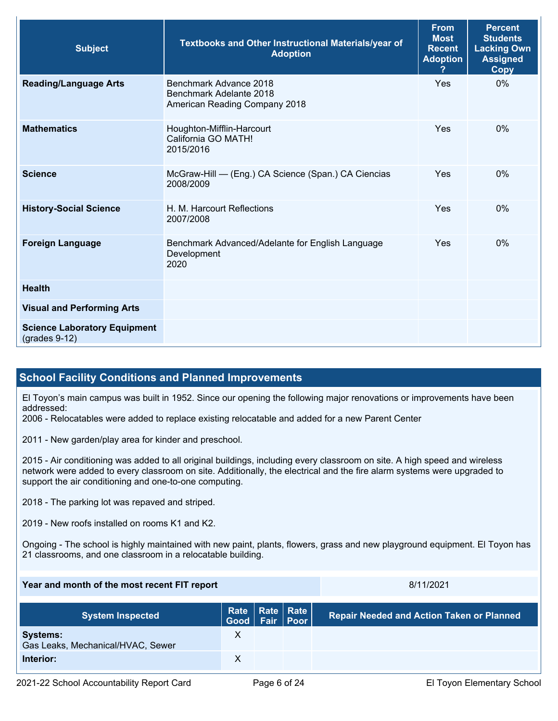| <b>Subject</b>                                         | Textbooks and Other Instructional Materials/year of<br><b>Adoption</b>             | <b>From</b><br><b>Most</b><br><b>Recent</b><br><b>Adoption</b> | <b>Percent</b><br><b>Students</b><br><b>Lacking Own</b><br><b>Assigned</b><br>Copy |
|--------------------------------------------------------|------------------------------------------------------------------------------------|----------------------------------------------------------------|------------------------------------------------------------------------------------|
| <b>Reading/Language Arts</b>                           | Benchmark Advance 2018<br>Benchmark Adelante 2018<br>American Reading Company 2018 | Yes                                                            | $0\%$                                                                              |
| <b>Mathematics</b>                                     | Houghton-Mifflin-Harcourt<br>California GO MATH!<br>2015/2016                      | Yes                                                            | $0\%$                                                                              |
| <b>Science</b>                                         | McGraw-Hill - (Eng.) CA Science (Span.) CA Ciencias<br>2008/2009                   | Yes                                                            | $0\%$                                                                              |
| <b>History-Social Science</b>                          | H. M. Harcourt Reflections<br>2007/2008                                            | Yes                                                            | 0%                                                                                 |
| <b>Foreign Language</b>                                | Benchmark Advanced/Adelante for English Language<br>Development<br>2020            | Yes                                                            | $0\%$                                                                              |
| <b>Health</b>                                          |                                                                                    |                                                                |                                                                                    |
| <b>Visual and Performing Arts</b>                      |                                                                                    |                                                                |                                                                                    |
| <b>Science Laboratory Equipment</b><br>$(grades 9-12)$ |                                                                                    |                                                                |                                                                                    |

### **School Facility Conditions and Planned Improvements**

El Toyon's main campus was built in 1952. Since our opening the following major renovations or improvements have been addressed:

2006 - Relocatables were added to replace existing relocatable and added for a new Parent Center

2011 - New garden/play area for kinder and preschool.

 network were added to every classroom on site. Additionally, the electrical and the fire alarm systems were upgraded to 2015 - Air conditioning was added to all original buildings, including every classroom on site. A high speed and wireless support the air conditioning and one-to-one computing.

2018 - The parking lot was repaved and striped.

2019 - New roofs installed on rooms K1 and K2.

Ongoing - The school is highly maintained with new paint, plants, flowers, grass and new playground equipment. El Toyon has 21 classrooms, and one classroom in a relocatable building.

| Year and month of the most recent FIT report         |                |  | 8/11/2021          |                                                  |
|------------------------------------------------------|----------------|--|--------------------|--------------------------------------------------|
| <b>System Inspected</b>                              | Good Fair Poor |  | Rate   Rate   Rate | <b>Repair Needed and Action Taken or Planned</b> |
| <b>Systems:</b><br>Gas Leaks, Mechanical/HVAC, Sewer | X              |  |                    |                                                  |
| Interior:                                            | Х              |  |                    |                                                  |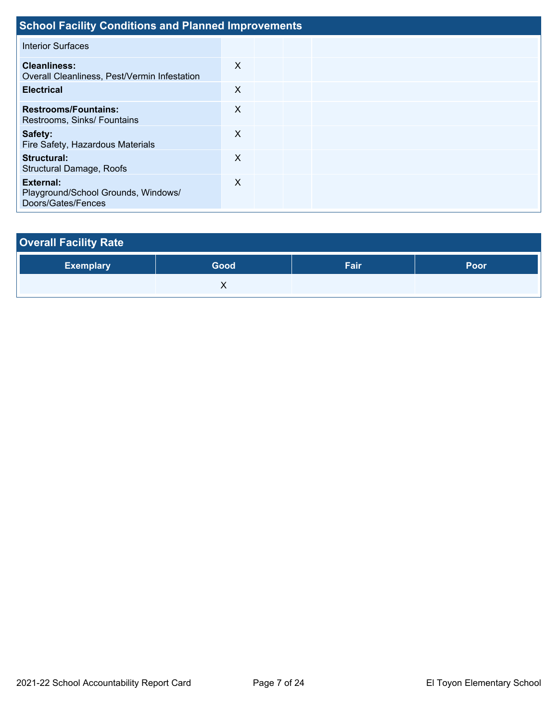| <b>School Facility Conditions and Planned Improvements</b>             |   |  |  |  |  |  |  |  |
|------------------------------------------------------------------------|---|--|--|--|--|--|--|--|
| <b>Interior Surfaces</b>                                               |   |  |  |  |  |  |  |  |
| <b>Cleanliness:</b><br>Overall Cleanliness, Pest/Vermin Infestation    | X |  |  |  |  |  |  |  |
| <b>Electrical</b>                                                      | X |  |  |  |  |  |  |  |
| <b>Restrooms/Fountains:</b><br>Restrooms, Sinks/ Fountains             | X |  |  |  |  |  |  |  |
| Safety:<br>Fire Safety, Hazardous Materials                            | X |  |  |  |  |  |  |  |
| Structural:<br>Structural Damage, Roofs                                | X |  |  |  |  |  |  |  |
| External:<br>Playground/School Grounds, Windows/<br>Doors/Gates/Fences | X |  |  |  |  |  |  |  |

| <b>Overall Facility Rate</b> |      |      |      |  |  |  |  |  |
|------------------------------|------|------|------|--|--|--|--|--|
| <b>Exemplary</b>             | Good | Fair | Poor |  |  |  |  |  |
|                              |      |      |      |  |  |  |  |  |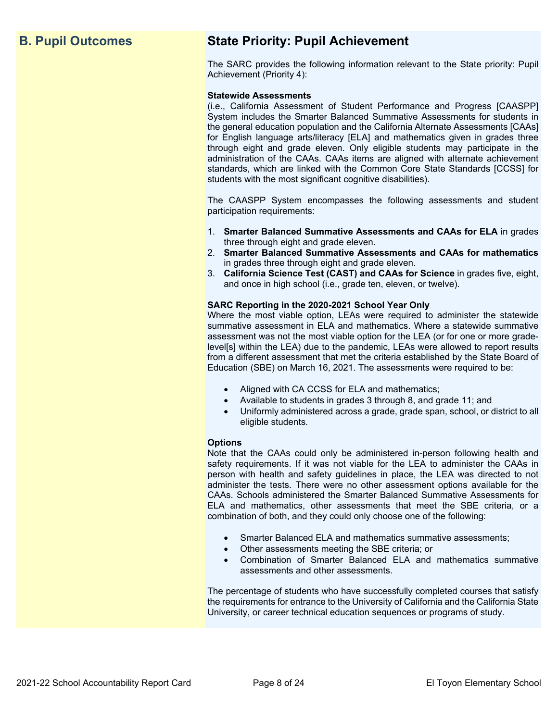# **B. Pupil Outcomes State Priority: Pupil Achievement**

The SARC provides the following information relevant to the State priority: Pupil Achievement (Priority 4):

#### **Statewide Assessments**

 (i.e., California Assessment of Student Performance and Progress [CAASPP] System includes the Smarter Balanced Summative Assessments for students in for English language arts/literacy [ELA] and mathematics given in grades three through eight and grade eleven. Only eligible students may participate in the standards, which are linked with the Common Core State Standards [CCSS] for the general education population and the California Alternate Assessments [CAAs] administration of the CAAs. CAAs items are aligned with alternate achievement students with the most significant cognitive disabilities).

The CAASPP System encompasses the following assessments and student participation requirements:

- 1. **Smarter Balanced Summative Assessments and CAAs for ELA** in grades three through eight and grade eleven.
- 2. **Smarter Balanced Summative Assessments and CAAs for mathematics**  in grades three through eight and grade eleven.
- 3. **California Science Test (CAST) and CAAs for Science** in grades five, eight, and once in high school (i.e., grade ten, eleven, or twelve).

#### **SARC Reporting in the 2020-2021 School Year Only**

Where the most viable option, LEAs were required to administer the statewide summative assessment in ELA and mathematics. Where a statewide summative assessment was not the most viable option for the LEA (or for one or more gradelevel[s] within the LEA) due to the pandemic, LEAs were allowed to report results from a different assessment that met the criteria established by the State Board of Education (SBE) on March 16, 2021. The assessments were required to be:

- Aligned with CA CCSS for ELA and mathematics;
- Available to students in grades 3 through 8, and grade 11; and
- Uniformly administered across a grade, grade span, school, or district to all eligible students.

#### **Options**

Note that the CAAs could only be administered in-person following health and safety requirements. If it was not viable for the LEA to administer the CAAs in person with health and safety guidelines in place, the LEA was directed to not administer the tests. There were no other assessment options available for the CAAs. Schools administered the Smarter Balanced Summative Assessments for ELA and mathematics, other assessments that meet the SBE criteria, or a combination of both, and they could only choose one of the following:

- Smarter Balanced ELA and mathematics summative assessments;
- Other assessments meeting the SBE criteria; or
- Combination of Smarter Balanced ELA and mathematics summative assessments and other assessments.

The percentage of students who have successfully completed courses that satisfy the requirements for entrance to the University of California and the California State University, or career technical education sequences or programs of study.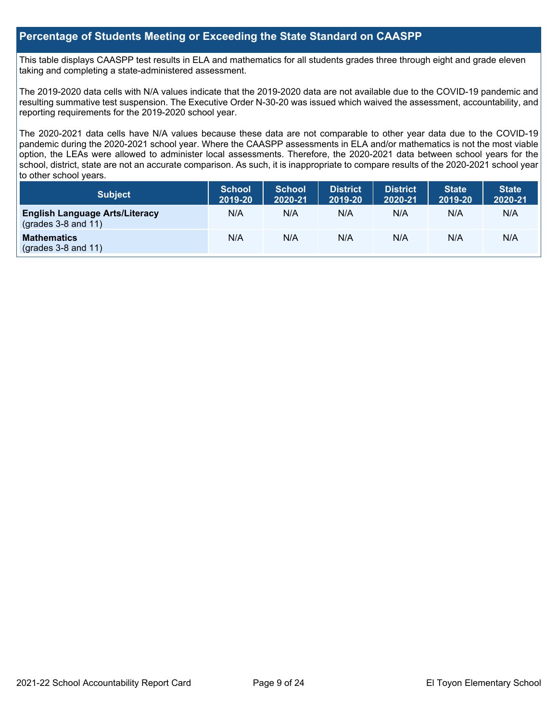#### **Percentage of Students Meeting or Exceeding the State Standard on CAASPP**

 taking and completing a state-administered assessment. This table displays CAASPP test results in ELA and mathematics for all students grades three through eight and grade eleven

The 2019-2020 data cells with N/A values indicate that the 2019-2020 data are not available due to the COVID-19 pandemic and resulting summative test suspension. The Executive Order N-30-20 was issued which waived the assessment, accountability, and reporting requirements for the 2019-2020 school year.

 pandemic during the 2020-2021 school year. Where the CAASPP assessments in ELA and/or mathematics is not the most viable school, district, state are not an accurate comparison. As such, it is inappropriate to compare results of the 2020-2021 school year The 2020-2021 data cells have N/A values because these data are not comparable to other year data due to the COVID-19 option, the LEAs were allowed to administer local assessments. Therefore, the 2020-2021 data between school years for the to other school years.

| Subject                                                              | <b>School</b><br>2019-20 | <b>School</b><br>2020-21 | <b>District</b><br>2019-20 | <b>District</b><br>2020-21 | <b>State</b><br>2019-20 | <b>State</b><br>2020-21 |
|----------------------------------------------------------------------|--------------------------|--------------------------|----------------------------|----------------------------|-------------------------|-------------------------|
| <b>English Language Arts/Literacy</b><br>$\left($ grades 3-8 and 11) | N/A                      | N/A                      | N/A                        | N/A                        | N/A                     | N/A                     |
| <b>Mathematics</b><br>$(grades 3-8 and 11)$                          | N/A                      | N/A                      | N/A                        | N/A                        | N/A                     | N/A                     |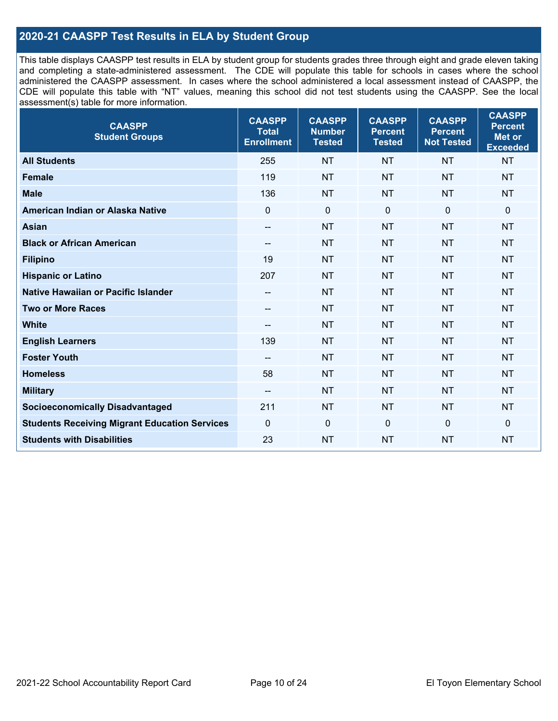### **2020-21 CAASPP Test Results in ELA by Student Group**

 and completing a state-administered assessment. The CDE will populate this table for schools in cases where the school CDE will populate this table with "NT" values, meaning this school did not test students using the CAASPP. See the local This table displays CAASPP test results in ELA by student group for students grades three through eight and grade eleven taking administered the CAASPP assessment. In cases where the school administered a local assessment instead of CAASPP, the assessment(s) table for more information.

| <b>CAASPP</b><br><b>Student Groups</b>               | <b>CAASPP</b><br><b>Total</b><br><b>Enrollment</b> | <b>CAASPP</b><br><b>Number</b><br><b>Tested</b> | <b>CAASPP</b><br><b>Percent</b><br><b>Tested</b> | <b>CAASPP</b><br><b>Percent</b><br><b>Not Tested</b> | <b>CAASPP</b><br><b>Percent</b><br>Met or<br><b>Exceeded</b> |
|------------------------------------------------------|----------------------------------------------------|-------------------------------------------------|--------------------------------------------------|------------------------------------------------------|--------------------------------------------------------------|
| <b>All Students</b>                                  | 255                                                | <b>NT</b>                                       | <b>NT</b>                                        | <b>NT</b>                                            | <b>NT</b>                                                    |
| <b>Female</b>                                        | 119                                                | <b>NT</b>                                       | <b>NT</b>                                        | <b>NT</b>                                            | <b>NT</b>                                                    |
| <b>Male</b>                                          | 136                                                | <b>NT</b>                                       | <b>NT</b>                                        | <b>NT</b>                                            | <b>NT</b>                                                    |
| American Indian or Alaska Native                     | $\mathbf 0$                                        | $\pmb{0}$                                       | $\mathbf 0$                                      | $\overline{0}$                                       | $\mathbf 0$                                                  |
| <b>Asian</b>                                         | $\overline{\phantom{a}}$                           | <b>NT</b>                                       | <b>NT</b>                                        | <b>NT</b>                                            | <b>NT</b>                                                    |
| <b>Black or African American</b>                     | $- -$                                              | <b>NT</b>                                       | <b>NT</b>                                        | <b>NT</b>                                            | <b>NT</b>                                                    |
| <b>Filipino</b>                                      | 19                                                 | <b>NT</b>                                       | <b>NT</b>                                        | <b>NT</b>                                            | <b>NT</b>                                                    |
| <b>Hispanic or Latino</b>                            | 207                                                | <b>NT</b>                                       | <b>NT</b>                                        | <b>NT</b>                                            | <b>NT</b>                                                    |
| <b>Native Hawaiian or Pacific Islander</b>           | $-\!$                                              | <b>NT</b>                                       | <b>NT</b>                                        | <b>NT</b>                                            | <b>NT</b>                                                    |
| <b>Two or More Races</b>                             | $-\!$                                              | <b>NT</b>                                       | <b>NT</b>                                        | <b>NT</b>                                            | <b>NT</b>                                                    |
| <b>White</b>                                         | $\overline{\phantom{a}}$                           | <b>NT</b>                                       | <b>NT</b>                                        | <b>NT</b>                                            | <b>NT</b>                                                    |
| <b>English Learners</b>                              | 139                                                | <b>NT</b>                                       | <b>NT</b>                                        | <b>NT</b>                                            | <b>NT</b>                                                    |
| <b>Foster Youth</b>                                  |                                                    | <b>NT</b>                                       | <b>NT</b>                                        | <b>NT</b>                                            | <b>NT</b>                                                    |
| <b>Homeless</b>                                      | 58                                                 | <b>NT</b>                                       | <b>NT</b>                                        | <b>NT</b>                                            | <b>NT</b>                                                    |
| <b>Military</b>                                      | $\overline{\phantom{a}}$                           | <b>NT</b>                                       | <b>NT</b>                                        | <b>NT</b>                                            | <b>NT</b>                                                    |
| <b>Socioeconomically Disadvantaged</b>               | 211                                                | <b>NT</b>                                       | <b>NT</b>                                        | <b>NT</b>                                            | <b>NT</b>                                                    |
| <b>Students Receiving Migrant Education Services</b> | $\mathbf 0$                                        | $\mathbf 0$                                     | $\mathbf 0$                                      | $\mathbf 0$                                          | 0                                                            |
| <b>Students with Disabilities</b>                    | 23                                                 | <b>NT</b>                                       | <b>NT</b>                                        | <b>NT</b>                                            | <b>NT</b>                                                    |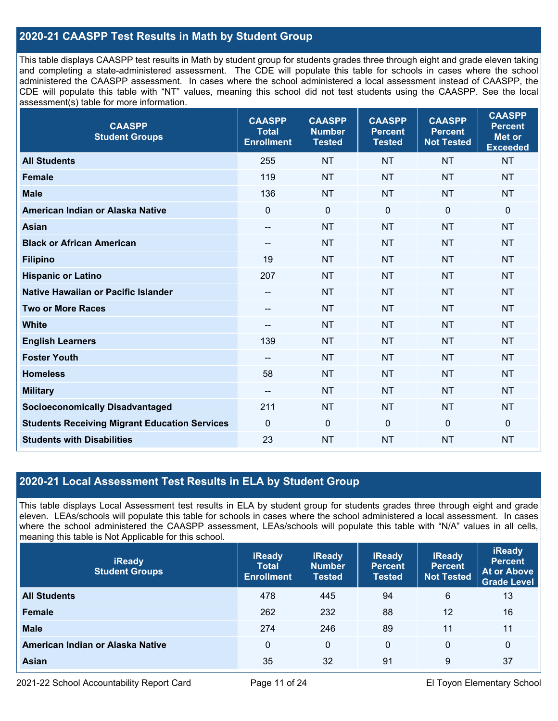### **2020-21 CAASPP Test Results in Math by Student Group**

 This table displays CAASPP test results in Math by student group for students grades three through eight and grade eleven taking and completing a state-administered assessment. The CDE will populate this table for schools in cases where the school CDE will populate this table with "NT" values, meaning this school did not test students using the CAASPP. See the local administered the CAASPP assessment. In cases where the school administered a local assessment instead of CAASPP, the assessment(s) table for more information.

| <b>CAASPP</b><br><b>Student Groups</b>               | <b>CAASPP</b><br><b>Total</b><br><b>Enrollment</b> | <b>CAASPP</b><br><b>Number</b><br><b>Tested</b> | <b>CAASPP</b><br><b>Percent</b><br><b>Tested</b> | <b>CAASPP</b><br><b>Percent</b><br><b>Not Tested</b> | <b>CAASPP</b><br><b>Percent</b><br><b>Met or</b><br><b>Exceeded</b> |
|------------------------------------------------------|----------------------------------------------------|-------------------------------------------------|--------------------------------------------------|------------------------------------------------------|---------------------------------------------------------------------|
| <b>All Students</b>                                  | 255                                                | <b>NT</b>                                       | <b>NT</b>                                        | <b>NT</b>                                            | <b>NT</b>                                                           |
| <b>Female</b>                                        | 119                                                | <b>NT</b>                                       | <b>NT</b>                                        | <b>NT</b>                                            | <b>NT</b>                                                           |
| <b>Male</b>                                          | 136                                                | <b>NT</b>                                       | <b>NT</b>                                        | <b>NT</b>                                            | <b>NT</b>                                                           |
| American Indian or Alaska Native                     | $\mathbf 0$                                        | $\pmb{0}$                                       | $\mathbf 0$                                      | $\overline{0}$                                       | $\pmb{0}$                                                           |
| <b>Asian</b>                                         | $\overline{\phantom{m}}$                           | <b>NT</b>                                       | <b>NT</b>                                        | <b>NT</b>                                            | <b>NT</b>                                                           |
| <b>Black or African American</b>                     | $-\!$ $\!-$                                        | <b>NT</b>                                       | <b>NT</b>                                        | <b>NT</b>                                            | <b>NT</b>                                                           |
| <b>Filipino</b>                                      | 19                                                 | <b>NT</b>                                       | <b>NT</b>                                        | <b>NT</b>                                            | <b>NT</b>                                                           |
| <b>Hispanic or Latino</b>                            | 207                                                | <b>NT</b>                                       | <b>NT</b>                                        | <b>NT</b>                                            | <b>NT</b>                                                           |
| Native Hawaiian or Pacific Islander                  | $\hspace{0.05cm}$ – $\hspace{0.05cm}$              | <b>NT</b>                                       | <b>NT</b>                                        | <b>NT</b>                                            | <b>NT</b>                                                           |
| <b>Two or More Races</b>                             | --                                                 | <b>NT</b>                                       | <b>NT</b>                                        | <b>NT</b>                                            | <b>NT</b>                                                           |
| <b>White</b>                                         | $\qquad \qquad -$                                  | <b>NT</b>                                       | <b>NT</b>                                        | <b>NT</b>                                            | <b>NT</b>                                                           |
| <b>English Learners</b>                              | 139                                                | <b>NT</b>                                       | <b>NT</b>                                        | <b>NT</b>                                            | <b>NT</b>                                                           |
| <b>Foster Youth</b>                                  | $- -$                                              | <b>NT</b>                                       | <b>NT</b>                                        | <b>NT</b>                                            | <b>NT</b>                                                           |
| <b>Homeless</b>                                      | 58                                                 | <b>NT</b>                                       | <b>NT</b>                                        | <b>NT</b>                                            | <b>NT</b>                                                           |
| <b>Military</b>                                      | --                                                 | <b>NT</b>                                       | <b>NT</b>                                        | <b>NT</b>                                            | <b>NT</b>                                                           |
| <b>Socioeconomically Disadvantaged</b>               | 211                                                | <b>NT</b>                                       | <b>NT</b>                                        | <b>NT</b>                                            | <b>NT</b>                                                           |
| <b>Students Receiving Migrant Education Services</b> | $\mathbf 0$                                        | $\mathbf 0$                                     | $\mathbf 0$                                      | 0                                                    | $\mathbf 0$                                                         |
| <b>Students with Disabilities</b>                    | 23                                                 | <b>NT</b>                                       | <b>NT</b>                                        | <b>NT</b>                                            | <b>NT</b>                                                           |

#### **2020-21 Local Assessment Test Results in ELA by Student Group**

 eleven. LEAs/schools will populate this table for schools in cases where the school administered a local assessment. In cases This table displays Local Assessment test results in ELA by student group for students grades three through eight and grade where the school administered the CAASPP assessment, LEAs/schools will populate this table with "N/A" values in all cells, meaning this table is Not Applicable for this school.

| <b>iReady</b><br><b>Student Groups</b> | <b>iReady</b><br><b>Total</b><br><b>Enrollment</b> | <b>iReady</b><br><b>Number</b><br><b>Tested</b> | <b>iReady</b><br><b>Percent</b><br><b>Tested</b> | <b>iReady</b><br><b>Percent</b><br><b>Not Tested</b> | <b>iReady</b><br><b>Percent</b><br><b>At or Above</b><br><b>Grade Level</b> |
|----------------------------------------|----------------------------------------------------|-------------------------------------------------|--------------------------------------------------|------------------------------------------------------|-----------------------------------------------------------------------------|
| <b>All Students</b>                    | 478                                                | 445                                             | 94                                               | 6                                                    | 13                                                                          |
| Female                                 | 262                                                | 232                                             | 88                                               | 12                                                   | 16                                                                          |
| <b>Male</b>                            | 274                                                | 246                                             | 89                                               | 11                                                   | 11                                                                          |
| American Indian or Alaska Native       | 0                                                  | 0                                               | $\Omega$                                         | 0                                                    | 0                                                                           |
| Asian                                  | 35                                                 | 32                                              | 91                                               | 9                                                    | 37                                                                          |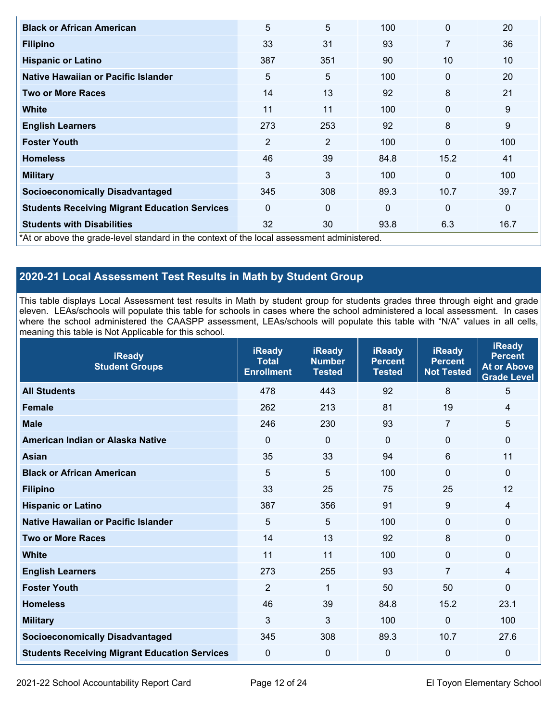| <b>Black or African American</b>                                                           | 5              | 5              | 100          | $\mathbf 0$  | 20           |
|--------------------------------------------------------------------------------------------|----------------|----------------|--------------|--------------|--------------|
| <b>Filipino</b>                                                                            | 33             | 31             | 93           | 7            | 36           |
| <b>Hispanic or Latino</b>                                                                  | 387            | 351            | 90           | 10           | 10           |
| Native Hawaiian or Pacific Islander                                                        | 5              | 5              | 100          | $\mathbf{0}$ | 20           |
| <b>Two or More Races</b>                                                                   | 14             | 13             | 92           | 8            | 21           |
| <b>White</b>                                                                               | 11             | 11             | 100          | $\mathbf 0$  | $9\,$        |
| <b>English Learners</b>                                                                    | 273            | 253            | 92           | 8            | 9            |
| <b>Foster Youth</b>                                                                        | $\overline{2}$ | $\overline{2}$ | 100          | $\mathbf 0$  | 100          |
| <b>Homeless</b>                                                                            | 46             | 39             | 84.8         | 15.2         | 41           |
| <b>Military</b>                                                                            | 3              | 3              | 100          | $\mathbf 0$  | 100          |
| <b>Socioeconomically Disadvantaged</b>                                                     | 345            | 308            | 89.3         | 10.7         | 39.7         |
| <b>Students Receiving Migrant Education Services</b>                                       | $\Omega$       | $\Omega$       | $\mathbf{0}$ | $\mathbf 0$  | $\mathbf{0}$ |
| <b>Students with Disabilities</b>                                                          | 32             | 30             | 93.8         | 6.3          | 16.7         |
| *At or above the grade-level standard in the context of the local assessment administered. |                |                |              |              |              |

# **2020-21 Local Assessment Test Results in Math by Student Group**

 This table displays Local Assessment test results in Math by student group for students grades three through eight and grade eleven. LEAs/schools will populate this table for schools in cases where the school administered a local assessment. In cases where the school administered the CAASPP assessment, LEAs/schools will populate this table with "N/A" values in all cells, meaning this table is Not Applicable for this school.

| <b>iReady</b><br><b>Student Groups</b>               | <b>iReady</b><br><b>Total</b><br><b>Enrollment</b> | <b>iReady</b><br><b>Number</b><br><b>Tested</b> | <b>iReady</b><br><b>Percent</b><br><b>Tested</b> | <b>iReady</b><br><b>Percent</b><br><b>Not Tested</b> | <b>iReady</b><br><b>Percent</b><br><b>At or Above</b><br>Grade Level |
|------------------------------------------------------|----------------------------------------------------|-------------------------------------------------|--------------------------------------------------|------------------------------------------------------|----------------------------------------------------------------------|
| <b>All Students</b>                                  | 478                                                | 443                                             | 92                                               | 8                                                    | 5                                                                    |
| <b>Female</b>                                        | 262                                                | 213                                             | 81                                               | 19                                                   | 4                                                                    |
| <b>Male</b>                                          | 246                                                | 230                                             | 93                                               | $\overline{7}$                                       | 5                                                                    |
| American Indian or Alaska Native                     | $\mathbf 0$                                        | $\mathbf 0$                                     | $\Omega$                                         | $\Omega$                                             | 0                                                                    |
| <b>Asian</b>                                         | 35                                                 | 33                                              | 94                                               | 6                                                    | 11                                                                   |
| <b>Black or African American</b>                     | 5                                                  | 5                                               | 100                                              | 0                                                    | $\Omega$                                                             |
| <b>Filipino</b>                                      | 33                                                 | 25                                              | 75                                               | 25                                                   | 12                                                                   |
| <b>Hispanic or Latino</b>                            | 387                                                | 356                                             | 91                                               | 9                                                    | 4                                                                    |
| Native Hawaiian or Pacific Islander                  | 5                                                  | 5                                               | 100                                              | $\mathbf 0$                                          | 0                                                                    |
| <b>Two or More Races</b>                             | 14                                                 | 13                                              | 92                                               | 8                                                    | 0                                                                    |
| <b>White</b>                                         | 11                                                 | 11                                              | 100                                              | 0                                                    | 0                                                                    |
| <b>English Learners</b>                              | 273                                                | 255                                             | 93                                               | $\overline{7}$                                       | 4                                                                    |
| <b>Foster Youth</b>                                  | $\overline{2}$                                     | 1                                               | 50                                               | 50                                                   | 0                                                                    |
| <b>Homeless</b>                                      | 46                                                 | 39                                              | 84.8                                             | 15.2                                                 | 23.1                                                                 |
| <b>Military</b>                                      | 3                                                  | 3                                               | 100                                              | 0                                                    | 100                                                                  |
| <b>Socioeconomically Disadvantaged</b>               | 345                                                | 308                                             | 89.3                                             | 10.7                                                 | 27.6                                                                 |
| <b>Students Receiving Migrant Education Services</b> | 0                                                  | 0                                               | 0                                                | $\mathbf 0$                                          | 0                                                                    |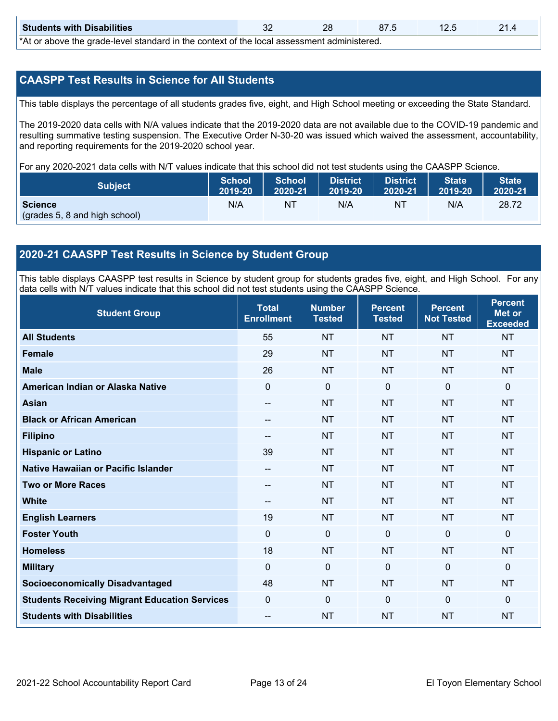| <b>Students with Disabilities</b>                                                                                 | n r<br>JZ |  |  |  |  |  |  |
|-------------------------------------------------------------------------------------------------------------------|-----------|--|--|--|--|--|--|
| المحصولين ويرامح المصوصوص وجوج المجال وحالية والمتلوث وجواليون المرجاء مرجله المربول والمجسم وحالي مرجوات ممراكات |           |  |  |  |  |  |  |

\*At or above the grade-level standard in the context of the local assessment administered.

#### **CAASPP Test Results in Science for All Students**

This table displays the percentage of all students grades five, eight, and High School meeting or exceeding the State Standard.

 resulting summative testing suspension. The Executive Order N-30-20 was issued which waived the assessment, accountability, and reporting requirements for the 2019-2020 school year. The 2019-2020 data cells with N/A values indicate that the 2019-2020 data are not available due to the COVID-19 pandemic and

For any 2020-2021 data cells with N/T values indicate that this school did not test students using the CAASPP Science.

| <b>Subject</b>                                  | <b>School</b> | <b>School</b> | <b>District</b>   | <b>District</b> | State   | State <sup>1</sup> |
|-------------------------------------------------|---------------|---------------|-------------------|-----------------|---------|--------------------|
|                                                 | 2019-20       | 2020-21       | $ 2019-20\rangle$ | 2020-21         | 2019-20 | 2020-21            |
| <b>Science</b><br>(grades 5, 8 and high school) | N/A           | ΝT            | N/A               | NT              | N/A     | 28.72              |

#### **2020-21 CAASPP Test Results in Science by Student Group**

 This table displays CAASPP test results in Science by student group for students grades five, eight, and High School. For any data cells with N/T values indicate that this school did not test students using the CAASPP Science.

| <b>Student Group</b>                                 | <b>Total</b><br><b>Enrollment</b> | <b>Number</b><br><b>Tested</b> | <b>Percent</b><br><b>Tested</b> | <b>Percent</b><br><b>Not Tested</b> | <b>Percent</b><br><b>Met or</b><br><b>Exceeded</b> |
|------------------------------------------------------|-----------------------------------|--------------------------------|---------------------------------|-------------------------------------|----------------------------------------------------|
| <b>All Students</b>                                  | 55                                | <b>NT</b>                      | <b>NT</b>                       | <b>NT</b>                           | <b>NT</b>                                          |
| <b>Female</b>                                        | 29                                | <b>NT</b>                      | <b>NT</b>                       | <b>NT</b>                           | <b>NT</b>                                          |
| <b>Male</b>                                          | 26                                | <b>NT</b>                      | <b>NT</b>                       | <b>NT</b>                           | <b>NT</b>                                          |
| American Indian or Alaska Native                     | 0                                 | $\mathbf 0$                    | $\mathbf 0$                     | $\mathbf 0$                         | $\mathbf 0$                                        |
| <b>Asian</b>                                         | --                                | <b>NT</b>                      | <b>NT</b>                       | <b>NT</b>                           | <b>NT</b>                                          |
| <b>Black or African American</b>                     |                                   | <b>NT</b>                      | <b>NT</b>                       | <b>NT</b>                           | <b>NT</b>                                          |
| <b>Filipino</b>                                      | --                                | <b>NT</b>                      | <b>NT</b>                       | <b>NT</b>                           | <b>NT</b>                                          |
| <b>Hispanic or Latino</b>                            | 39                                | <b>NT</b>                      | <b>NT</b>                       | <b>NT</b>                           | <b>NT</b>                                          |
| Native Hawaiian or Pacific Islander                  | --                                | <b>NT</b>                      | <b>NT</b>                       | <b>NT</b>                           | <b>NT</b>                                          |
| <b>Two or More Races</b>                             |                                   | <b>NT</b>                      | <b>NT</b>                       | <b>NT</b>                           | <b>NT</b>                                          |
| <b>White</b>                                         | $-$                               | <b>NT</b>                      | <b>NT</b>                       | <b>NT</b>                           | <b>NT</b>                                          |
| <b>English Learners</b>                              | 19                                | <b>NT</b>                      | <b>NT</b>                       | <b>NT</b>                           | <b>NT</b>                                          |
| <b>Foster Youth</b>                                  | 0                                 | $\mathbf 0$                    | $\mathbf 0$                     | $\mathbf 0$                         | $\mathbf 0$                                        |
| <b>Homeless</b>                                      | 18                                | <b>NT</b>                      | <b>NT</b>                       | <b>NT</b>                           | <b>NT</b>                                          |
| <b>Military</b>                                      | $\Omega$                          | $\mathbf 0$                    | $\mathbf 0$                     | $\mathbf 0$                         | $\mathbf 0$                                        |
| <b>Socioeconomically Disadvantaged</b>               | 48                                | <b>NT</b>                      | <b>NT</b>                       | <b>NT</b>                           | <b>NT</b>                                          |
| <b>Students Receiving Migrant Education Services</b> | 0                                 | 0                              | $\mathbf 0$                     | $\mathbf 0$                         | $\mathbf{0}$                                       |
| <b>Students with Disabilities</b>                    | $-$                               | <b>NT</b>                      | <b>NT</b>                       | <b>NT</b>                           | <b>NT</b>                                          |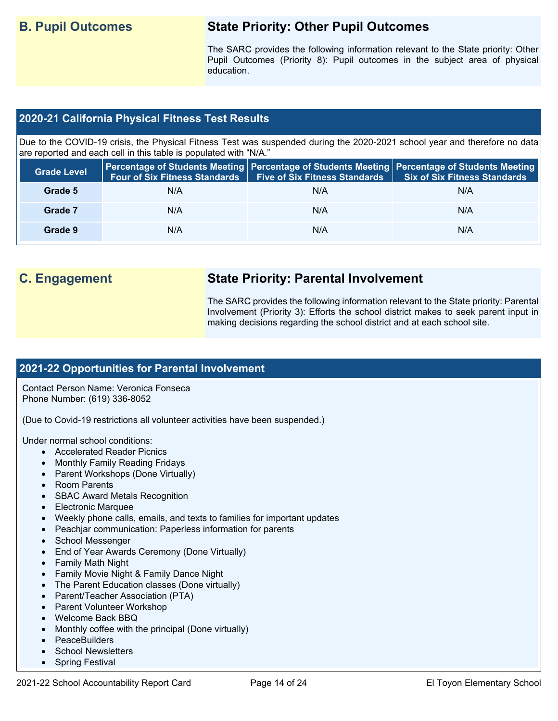# **B. Pupil Outcomes State Priority: Other Pupil Outcomes**

 Pupil Outcomes (Priority 8): Pupil outcomes in the subject area of physical The SARC provides the following information relevant to the State priority: Other education.

### **2020-21 California Physical Fitness Test Results**

 Due to the COVID-19 crisis, the Physical Fitness Test was suspended during the 2020-2021 school year and therefore no data are reported and each cell in this table is populated with "N/A."

| <b>Grade Level</b> | <b>Four of Six Fitness Standards</b> | <b>Five of Six Fitness Standards   Six of Six Fitness Standards</b> | Percentage of Students Meeting   Percentage of Students Meeting   Percentage of Students Meeting |
|--------------------|--------------------------------------|---------------------------------------------------------------------|--------------------------------------------------------------------------------------------------|
| Grade 5            | N/A                                  | N/A                                                                 | N/A                                                                                              |
| Grade 7            | N/A                                  | N/A                                                                 | N/A                                                                                              |
| Grade 9            | N/A                                  | N/A                                                                 | N/A                                                                                              |

# **C. Engagement State Priority: Parental Involvement**

The SARC provides the following information relevant to the State priority: Parental Involvement (Priority 3): Efforts the school district makes to seek parent input in making decisions regarding the school district and at each school site.

#### **2021-22 Opportunities for Parental Involvement**

Contact Person Name: Veronica Fonseca Phone Number: (619) 336-8052

(Due to Covid-19 restrictions all volunteer activities have been suspended.)

Under normal school conditions:

- Accelerated Reader Picnics
- Monthly Family Reading Fridays
- Parent Workshops (Done Virtually)
- Room Parents
- SBAC Award Metals Recognition
- Electronic Marquee
- Weekly phone calls, emails, and texts to families for important updates
- Peachjar communication: Paperless information for parents
- School Messenger
- End of Year Awards Ceremony (Done Virtually)
- Family Math Night
- Family Movie Night & Family Dance Night
- The Parent Education classes (Done virtually)
- Parent/Teacher Association (PTA)
- Parent Volunteer Workshop
- Welcome Back BBQ
- Monthly coffee with the principal (Done virtually)
- PeaceBuilders
- School Newsletters
- **Spring Festival**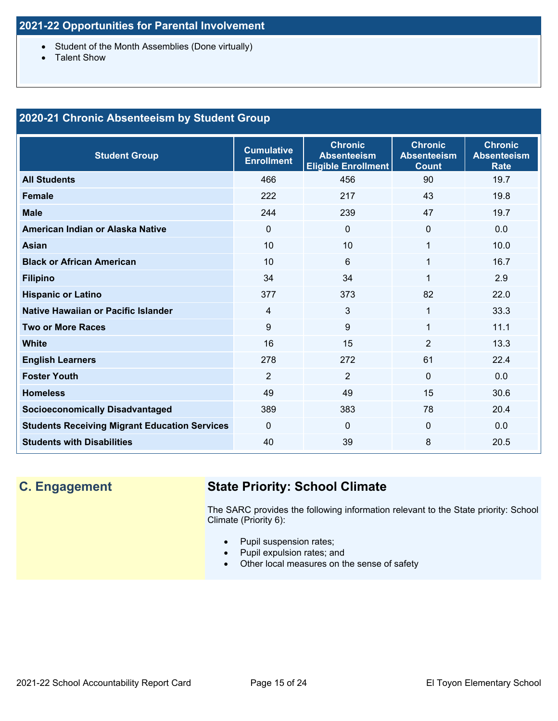- Student of the Month Assemblies (Done virtually)
- Talent Show

### **2020-21 Chronic Absenteeism by Student Group**

| <b>Student Group</b>                                 | <b>Cumulative</b><br><b>Enrollment</b> | <b>Chronic</b><br><b>Absenteeism</b><br><b>Eligible Enrollment</b> | <b>Chronic</b><br><b>Absenteeism</b><br><b>Count</b> | <b>Chronic</b><br><b>Absenteeism</b><br>Rate |
|------------------------------------------------------|----------------------------------------|--------------------------------------------------------------------|------------------------------------------------------|----------------------------------------------|
| <b>All Students</b>                                  | 466                                    | 456                                                                | 90                                                   | 19.7                                         |
| <b>Female</b>                                        | 222                                    | 217                                                                | 43                                                   | 19.8                                         |
| <b>Male</b>                                          | 244                                    | 239                                                                | 47                                                   | 19.7                                         |
| American Indian or Alaska Native                     | $\Omega$                               | 0                                                                  | $\Omega$                                             | 0.0                                          |
| <b>Asian</b>                                         | 10                                     | 10                                                                 | 1                                                    | 10.0                                         |
| <b>Black or African American</b>                     | 10                                     | 6                                                                  | 1                                                    | 16.7                                         |
| <b>Filipino</b>                                      | 34                                     | 34                                                                 | $\mathbf 1$                                          | 2.9                                          |
| <b>Hispanic or Latino</b>                            | 377                                    | 373                                                                | 82                                                   | 22.0                                         |
| Native Hawaiian or Pacific Islander                  | 4                                      | 3                                                                  | $\mathbf{1}$                                         | 33.3                                         |
| <b>Two or More Races</b>                             | 9                                      | 9                                                                  | $\mathbf 1$                                          | 11.1                                         |
| <b>White</b>                                         | 16                                     | 15                                                                 | $\overline{2}$                                       | 13.3                                         |
| <b>English Learners</b>                              | 278                                    | 272                                                                | 61                                                   | 22.4                                         |
| <b>Foster Youth</b>                                  | $\overline{2}$                         | $\overline{2}$                                                     | $\Omega$                                             | 0.0                                          |
| <b>Homeless</b>                                      | 49                                     | 49                                                                 | 15                                                   | 30.6                                         |
| <b>Socioeconomically Disadvantaged</b>               | 389                                    | 383                                                                | 78                                                   | 20.4                                         |
| <b>Students Receiving Migrant Education Services</b> | $\Omega$                               | 0                                                                  | $\Omega$                                             | 0.0                                          |
| <b>Students with Disabilities</b>                    | 40                                     | 39                                                                 | 8                                                    | 20.5                                         |

# **C. Engagement State Priority: School Climate**

 The SARC provides the following information relevant to the State priority: School Climate (Priority 6):

- Pupil suspension rates;
- Pupil expulsion rates; and
- Other local measures on the sense of safety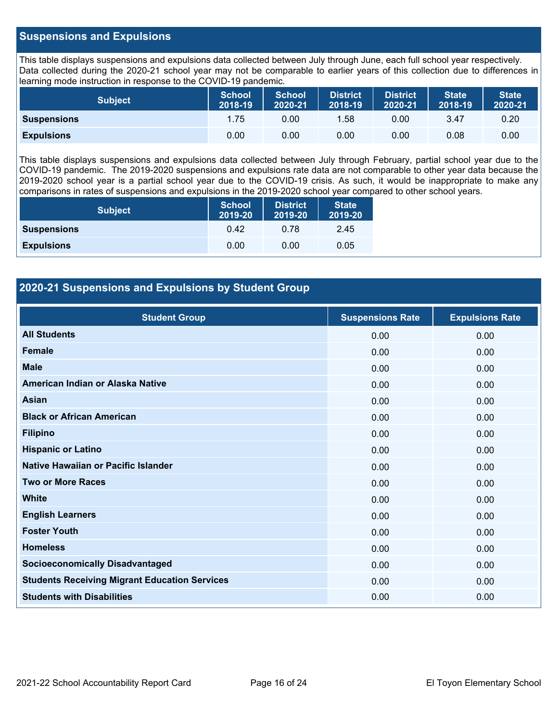#### **Suspensions and Expulsions**

This table displays suspensions and expulsions data collected between July through June, each full school year respectively. This table displays suspensions and expulsions data collected between July through June, each full school year respectively.<br>Data collected during the 2020-21 school year may not be comparable to earlier years of this coll learning mode instruction in response to the COVID-19 pandemic.

| <b>Subject</b>     | <b>School</b><br>2018-19 | <b>School</b><br>2020-21 | <b>District</b><br>2018-19 | <b>District</b><br>2020-21 | <b>State</b><br>2018-19 | <b>State</b><br>2020-21 |
|--------------------|--------------------------|--------------------------|----------------------------|----------------------------|-------------------------|-------------------------|
| <b>Suspensions</b> | 1.75                     | 0.00                     | 1.58                       | 0.00                       | 3.47                    | 0.20                    |
| <b>Expulsions</b>  | 0.00                     | 0.00                     | 0.00                       | 0.00                       | 0.08                    | 0.00                    |

 2019-2020 school year is a partial school year due to the COVID-19 crisis. As such, it would be inappropriate to make any This table displays suspensions and expulsions data collected between July through February, partial school year due to the COVID-19 pandemic. The 2019-2020 suspensions and expulsions rate data are not comparable to other year data because the comparisons in rates of suspensions and expulsions in the 2019-2020 school year compared to other school years.

| <b>Subject</b>     | <b>School</b><br>2019-20 | <b>District</b><br>2019-20 | <b>State</b><br>2019-20 |
|--------------------|--------------------------|----------------------------|-------------------------|
| <b>Suspensions</b> | 0.42                     | 0.78                       | 2.45                    |
| <b>Expulsions</b>  | 0.00                     | 0.00                       | 0.05                    |

#### **2020-21 Suspensions and Expulsions by Student Group**

| <b>Student Group</b>                                 | <b>Suspensions Rate</b> | <b>Expulsions Rate</b> |
|------------------------------------------------------|-------------------------|------------------------|
| <b>All Students</b>                                  | 0.00                    | 0.00                   |
| <b>Female</b>                                        | 0.00                    | 0.00                   |
| <b>Male</b>                                          | 0.00                    | 0.00                   |
| American Indian or Alaska Native                     | 0.00                    | 0.00                   |
| Asian                                                | 0.00                    | 0.00                   |
| <b>Black or African American</b>                     | 0.00                    | 0.00                   |
| <b>Filipino</b>                                      | 0.00                    | 0.00                   |
| <b>Hispanic or Latino</b>                            | 0.00                    | 0.00                   |
| Native Hawaiian or Pacific Islander                  | 0.00                    | 0.00                   |
| <b>Two or More Races</b>                             | 0.00                    | 0.00                   |
| <b>White</b>                                         | 0.00                    | 0.00                   |
| <b>English Learners</b>                              | 0.00                    | 0.00                   |
| <b>Foster Youth</b>                                  | 0.00                    | 0.00                   |
| <b>Homeless</b>                                      | 0.00                    | 0.00                   |
| <b>Socioeconomically Disadvantaged</b>               | 0.00                    | 0.00                   |
| <b>Students Receiving Migrant Education Services</b> | 0.00                    | 0.00                   |
| <b>Students with Disabilities</b>                    | 0.00                    | 0.00                   |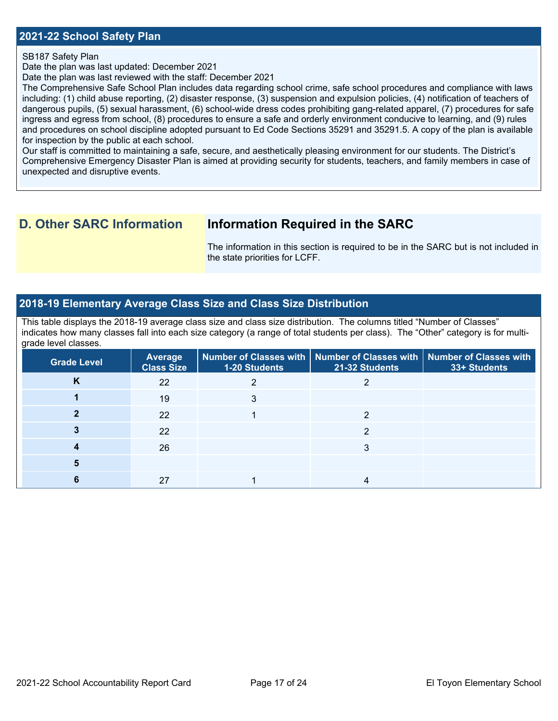#### **2021-22 School Safety Plan**

SB187 Safety Plan

Date the plan was last updated: December 2021

Date the plan was last reviewed with the staff: December 2021

The Comprehensive Safe School Plan includes data regarding school crime, safe school procedures and compliance with laws including: (1) child abuse reporting, (2) disaster response, (3) suspension and expulsion policies, (4) notification of teachers of dangerous pupils, (5) sexual harassment, (6) school-wide dress codes prohibiting gang-related apparel, (7) procedures for safe ingress and egress from school, (8) procedures to ensure a safe and orderly environment conducive to learning, and (9) rules and procedures on school discipline adopted pursuant to Ed Code Sections 35291 and 35291.5. A copy of the plan is available for inspection by the public at each school.

Our staff is committed to maintaining a safe, secure, and aesthetically pleasing environment for our students. The District's Comprehensive Emergency Disaster Plan is aimed at providing security for students, teachers, and family members in case of unexpected and disruptive events.

## **D. Other SARC Information Information Required in the SARC**

 The information in this section is required to be in the SARC but is not included in the state priorities for LCFF.

#### **2018-19 Elementary Average Class Size and Class Size Distribution**

 indicates how many classes fall into each size category (a range of total students per class). The "Other" category is for multi-This table displays the 2018-19 average class size and class size distribution. The columns titled "Number of Classes" grade level classes.

| <b>Grade Level</b> | <b>Average</b><br><b>Class Size</b> | 1-20 Students | Number of Classes with   Number of Classes with   Number of Classes with<br>21-32 Students | 33+ Students |
|--------------------|-------------------------------------|---------------|--------------------------------------------------------------------------------------------|--------------|
| Κ                  | 22                                  |               |                                                                                            |              |
|                    | 19                                  |               |                                                                                            |              |
|                    | 22                                  |               |                                                                                            |              |
|                    | 22                                  |               |                                                                                            |              |
|                    | 26                                  |               |                                                                                            |              |
|                    |                                     |               |                                                                                            |              |
|                    | 27                                  |               |                                                                                            |              |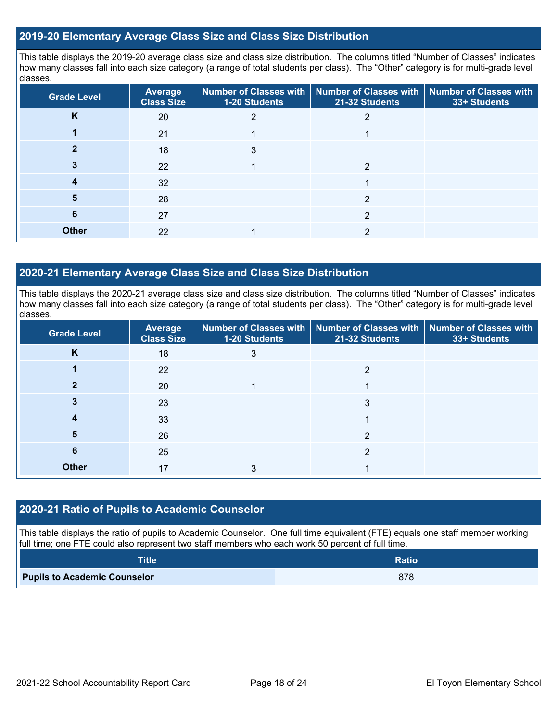#### **2019-20 Elementary Average Class Size and Class Size Distribution**

This table displays the 2019-20 average class size and class size distribution. The columns titled "Number of Classes" indicates how many classes fall into each size category (a range of total students per class). The "Other" category is for multi-grade level classes.

| <b>Grade Level</b> | Average<br><b>Class Size</b> | 1-20 Students | Number of Classes with   Number of Classes with  <br>21-32 Students | Number of Classes with<br>33+ Students |
|--------------------|------------------------------|---------------|---------------------------------------------------------------------|----------------------------------------|
| K                  | 20                           |               |                                                                     |                                        |
|                    | 21                           |               |                                                                     |                                        |
|                    | 18                           |               |                                                                     |                                        |
|                    | 22                           |               | 2                                                                   |                                        |
|                    | 32                           |               |                                                                     |                                        |
| 5                  | 28                           |               | າ                                                                   |                                        |
| 6                  | 27                           |               | 2                                                                   |                                        |
| <b>Other</b>       | 22                           |               | 2                                                                   |                                        |

#### **2020-21 Elementary Average Class Size and Class Size Distribution**

This table displays the 2020-21 average class size and class size distribution. The columns titled "Number of Classes" indicates how many classes fall into each size category (a range of total students per class). The "Other" category is for multi-grade level classes.

| <b>Grade Level</b> | <b>Average</b><br><b>Class Size</b> | 1-20 Students | Number of Classes with   Number of Classes with   Number of Classes with<br>21-32 Students | 33+ Students |
|--------------------|-------------------------------------|---------------|--------------------------------------------------------------------------------------------|--------------|
| K                  | 18                                  | 3             |                                                                                            |              |
|                    | 22                                  |               | 2                                                                                          |              |
|                    | 20                                  |               |                                                                                            |              |
|                    | 23                                  |               | 3                                                                                          |              |
|                    | 33                                  |               |                                                                                            |              |
| 5                  | 26                                  |               | 2                                                                                          |              |
| 6                  | 25                                  |               | 2                                                                                          |              |
| <b>Other</b>       | 17                                  |               |                                                                                            |              |

#### **2020-21 Ratio of Pupils to Academic Counselor**

This table displays the ratio of pupils to Academic Counselor. One full time equivalent (FTE) equals one staff member working full time; one FTE could also represent two staff members who each work 50 percent of full time.

| Title                               | <b>Ratio</b> |
|-------------------------------------|--------------|
| <b>Pupils to Academic Counselor</b> | 878          |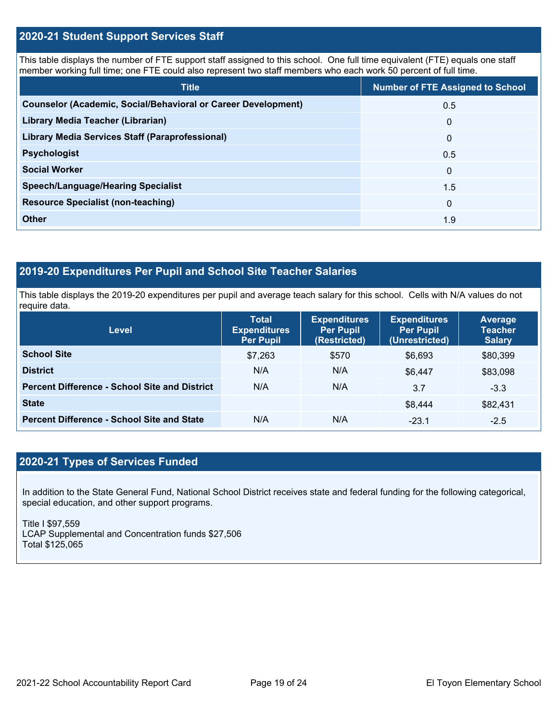#### **2020-21 Student Support Services Staff**

This table displays the number of FTE support staff assigned to this school. One full time equivalent (FTE) equals one staff member working full time; one FTE could also represent two staff members who each work 50 percent of full time.

| <b>Title</b>                                                         | <b>Number of FTE Assigned to School</b> |
|----------------------------------------------------------------------|-----------------------------------------|
| <b>Counselor (Academic, Social/Behavioral or Career Development)</b> | 0.5                                     |
| Library Media Teacher (Librarian)                                    | $\mathbf 0$                             |
| <b>Library Media Services Staff (Paraprofessional)</b>               | $\mathbf 0$                             |
| <b>Psychologist</b>                                                  | 0.5                                     |
| <b>Social Worker</b>                                                 | $\Omega$                                |
| <b>Speech/Language/Hearing Specialist</b>                            | 1.5                                     |
| <b>Resource Specialist (non-teaching)</b>                            | $\mathbf{0}$                            |
| <b>Other</b>                                                         | 1.9                                     |

## **2019-20 Expenditures Per Pupil and School Site Teacher Salaries**

 This table displays the 2019-20 expenditures per pupil and average teach salary for this school. Cells with N/A values do not require data.

| <b>Level</b>                                         | <b>Total</b><br><b>Expenditures</b><br><b>Per Pupil</b> | <b>Expenditures</b><br><b>Per Pupil</b><br>(Restricted) | <b>Expenditures</b><br><b>Per Pupil</b><br>(Unrestricted) | Average<br><b>Teacher</b><br><b>Salary</b> |
|------------------------------------------------------|---------------------------------------------------------|---------------------------------------------------------|-----------------------------------------------------------|--------------------------------------------|
| <b>School Site</b>                                   | \$7,263                                                 | \$570                                                   | \$6,693                                                   | \$80,399                                   |
| <b>District</b>                                      | N/A                                                     | N/A                                                     | \$6.447                                                   | \$83,098                                   |
| <b>Percent Difference - School Site and District</b> | N/A                                                     | N/A                                                     | 3.7                                                       | $-3.3$                                     |
| <b>State</b>                                         |                                                         |                                                         | \$8.444                                                   | \$82,431                                   |
| <b>Percent Difference - School Site and State</b>    | N/A                                                     | N/A                                                     | $-23.1$                                                   | $-2.5$                                     |

## **2020-21 Types of Services Funded**

In addition to the State General Fund, National School District receives state and federal funding for the following categorical, special education, and other support programs.

Title I \$97,559 LCAP Supplemental and Concentration funds \$27,506 Total \$125,065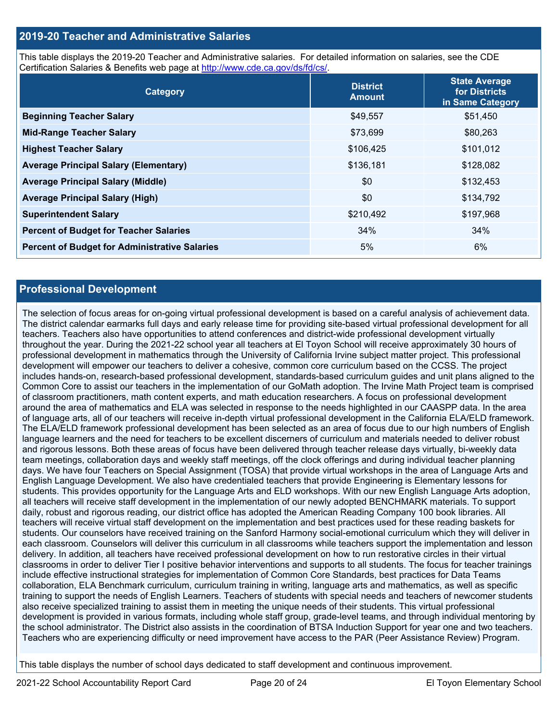#### **2019-20 Teacher and Administrative Salaries**

This table displays the 2019-20 Teacher and Administrative salaries. For detailed information on salaries, see the CDE Certification Salaries & Benefits web page at<http://www.cde.ca.gov/ds/fd/cs/>.

| Category                                             | <b>District</b><br><b>Amount</b> | <b>State Average</b><br>for Districts<br>in Same Category |
|------------------------------------------------------|----------------------------------|-----------------------------------------------------------|
| <b>Beginning Teacher Salary</b>                      | \$49,557                         | \$51,450                                                  |
| <b>Mid-Range Teacher Salary</b>                      | \$73,699                         | \$80,263                                                  |
| <b>Highest Teacher Salary</b>                        | \$106,425                        | \$101,012                                                 |
| <b>Average Principal Salary (Elementary)</b>         | \$136,181                        | \$128,082                                                 |
| <b>Average Principal Salary (Middle)</b>             | \$0                              | \$132,453                                                 |
| <b>Average Principal Salary (High)</b>               | \$0                              | \$134,792                                                 |
| <b>Superintendent Salary</b>                         | \$210,492                        | \$197,968                                                 |
| <b>Percent of Budget for Teacher Salaries</b>        | 34%                              | 34%                                                       |
| <b>Percent of Budget for Administrative Salaries</b> | 5%                               | 6%                                                        |

#### **Professional Development**

 The district calendar earmarks full days and early release time for providing site-based virtual professional development for all throughout the year. During the 2021-22 school year all teachers at El Toyon School will receive approximately 30 hours of around the area of mathematics and ELA was selected in response to the needs highlighted in our CAASPP data. In the area of language arts, all of our teachers will receive in-depth virtual professional development in the California ELA/ELD framework. teachers will receive virtual staff development on the implementation and best practices used for these reading baskets for delivery. In addition, all teachers have received professional development on how to run restorative circles in their virtual collaboration, ELA Benchmark curriculum, curriculum training in writing, language arts and mathematics, as well as specific the school administrator. The District also assists in the coordination of BTSA Induction Support for year one and two teachers. The selection of focus areas for on-going virtual professional development is based on a careful analysis of achievement data. teachers. Teachers also have opportunities to attend conferences and district-wide professional development virtually professional development in mathematics through the University of California Irvine subject matter project. This professional development will empower our teachers to deliver a cohesive, common core curriculum based on the CCSS. The project includes hands-on, research-based professional development, standards-based curriculum guides and unit plans aligned to the Common Core to assist our teachers in the implementation of our GoMath adoption. The Irvine Math Project team is comprised of classroom practitioners, math content experts, and math education researchers. A focus on professional development The ELA/ELD framework professional development has been selected as an area of focus due to our high numbers of English language learners and the need for teachers to be excellent discerners of curriculum and materials needed to deliver robust and rigorous lessons. Both these areas of focus have been delivered through teacher release days virtually, bi-weekly data team meetings, collaboration days and weekly staff meetings, off the clock offerings and during individual teacher planning days. We have four Teachers on Special Assignment (TOSA) that provide virtual workshops in the area of Language Arts and English Language Development. We also have credentialed teachers that provide Engineering is Elementary lessons for students. This provides opportunity for the Language Arts and ELD workshops. With our new English Language Arts adoption, all teachers will receive staff development in the implementation of our newly adopted BENCHMARK materials. To support daily, robust and rigorous reading, our district office has adopted the American Reading Company 100 book libraries. All students. Our counselors have received training on the Sanford Harmony social-emotional curriculum which they will deliver in each classroom. Counselors will deliver this curriculum in all classrooms while teachers support the implementation and lesson classrooms in order to deliver Tier I positive behavior interventions and supports to all students. The focus for teacher trainings include effective instructional strategies for implementation of Common Core Standards, best practices for Data Teams training to support the needs of English Learners. Teachers of students with special needs and teachers of newcomer students also receive specialized training to assist them in meeting the unique needs of their students. This virtual professional development is provided in various formats, including whole staff group, grade-level teams, and through individual mentoring by Teachers who are experiencing difficulty or need improvement have access to the PAR (Peer Assistance Review) Program.

This table displays the number of school days dedicated to staff development and continuous improvement.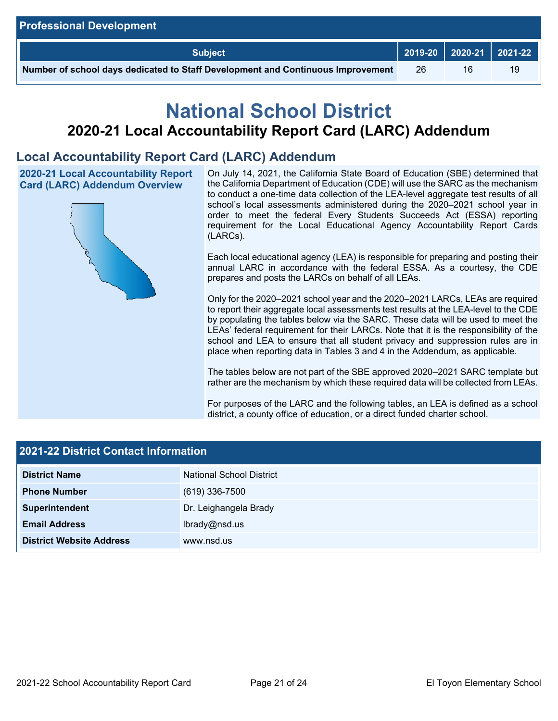| <b>Professional Development</b>                                                 |    |    |    |
|---------------------------------------------------------------------------------|----|----|----|
| <b>Subject</b>                                                                  |    |    |    |
| Number of school days dedicated to Staff Development and Continuous Improvement | 26 | 16 | 19 |

# **National School District 2020-21 Local Accountability Report Card (LARC) Addendum**

# **Local Accountability Report Card (LARC) Addendum**



2020-21 Local Accountability Report **On July 14, 2021, the California State Board of Education (SBE) determined that** the California Department of Education (CDE) will use the SARC as the mechanism Card (LARC) Addendum Overview the California Department of Education (CDE) will use the SARC as the mechanism<br>to conduct a one-time data collection of the LEA-level aggregate test results of all school's local assessments administered during the 2020–2021 school year in order to meet the federal Every Students Succeeds Act (ESSA) reporting requirement for the Local Educational Agency Accountability Report Cards (LARCs).

> Each local educational agency (LEA) is responsible for preparing and posting their annual LARC in accordance with the federal ESSA. As a courtesy, the CDE prepares and posts the LARCs on behalf of all LEAs.

> to report their aggregate local assessments test results at the LEA-level to the CDE by populating the tables below via the SARC. These data will be used to meet the Only for the 2020–2021 school year and the 2020–2021 LARCs, LEAs are required LEAs' federal requirement for their LARCs. Note that it is the responsibility of the school and LEA to ensure that all student privacy and suppression rules are in place when reporting data in Tables 3 and 4 in the Addendum, as applicable.

> The tables below are not part of the SBE approved 2020–2021 SARC template but rather are the mechanism by which these required data will be collected from LEAs.

> For purposes of the LARC and the following tables, an LEA is defined as a school district, a county office of education, or a direct funded charter school.

| 2021-22 District Contact Information |                                 |  |  |  |
|--------------------------------------|---------------------------------|--|--|--|
| <b>District Name</b>                 | <b>National School District</b> |  |  |  |
| <b>Phone Number</b>                  | $(619)$ 336-7500                |  |  |  |
| Superintendent                       | Dr. Leighangela Brady           |  |  |  |
| <b>Email Address</b>                 | lbrady@nsd.us                   |  |  |  |
| <b>District Website Address</b>      | www.nsd.us                      |  |  |  |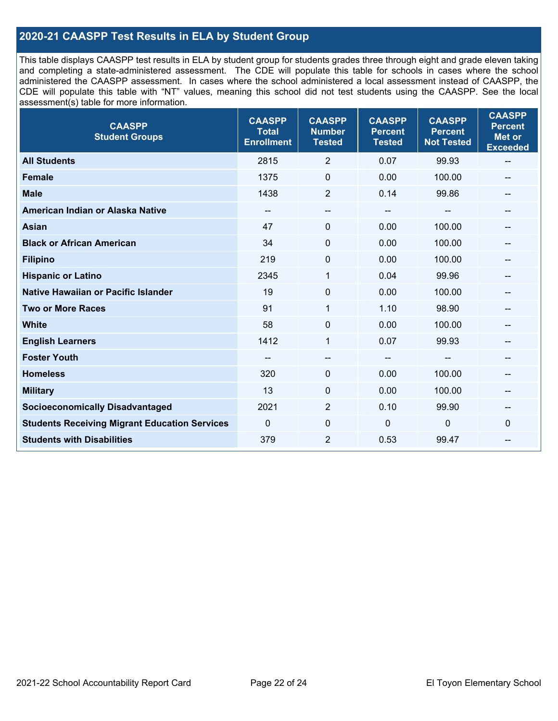### **2020-21 CAASPP Test Results in ELA by Student Group**

 and completing a state-administered assessment. The CDE will populate this table for schools in cases where the school CDE will populate this table with "NT" values, meaning this school did not test students using the CAASPP. See the local This table displays CAASPP test results in ELA by student group for students grades three through eight and grade eleven taking administered the CAASPP assessment. In cases where the school administered a local assessment instead of CAASPP, the assessment(s) table for more information.

| <b>CAASPP</b><br><b>Student Groups</b>               | <b>CAASPP</b><br><b>Total</b><br><b>Enrollment</b> | <b>CAASPP</b><br><b>Number</b><br><b>Tested</b> | <b>CAASPP</b><br><b>Percent</b><br><b>Tested</b> | <b>CAASPP</b><br><b>Percent</b><br><b>Not Tested</b> | <b>CAASPP</b><br><b>Percent</b><br><b>Met or</b><br><b>Exceeded</b> |
|------------------------------------------------------|----------------------------------------------------|-------------------------------------------------|--------------------------------------------------|------------------------------------------------------|---------------------------------------------------------------------|
| <b>All Students</b>                                  | 2815                                               | $\overline{2}$                                  | 0.07                                             | 99.93                                                | $\overline{\phantom{m}}$                                            |
| <b>Female</b>                                        | 1375                                               | $\mathbf 0$                                     | 0.00                                             | 100.00                                               |                                                                     |
| <b>Male</b>                                          | 1438                                               | $\overline{2}$                                  | 0.14                                             | 99.86                                                | --                                                                  |
| American Indian or Alaska Native                     | --                                                 | --                                              | $\overline{\phantom{m}}$                         | --                                                   | --                                                                  |
| <b>Asian</b>                                         | 47                                                 | 0                                               | 0.00                                             | 100.00                                               |                                                                     |
| <b>Black or African American</b>                     | 34                                                 | 0                                               | 0.00                                             | 100.00                                               |                                                                     |
| <b>Filipino</b>                                      | 219                                                | 0                                               | 0.00                                             | 100.00                                               |                                                                     |
| <b>Hispanic or Latino</b>                            | 2345                                               | 1                                               | 0.04                                             | 99.96                                                |                                                                     |
| <b>Native Hawaiian or Pacific Islander</b>           | 19                                                 | $\mathbf 0$                                     | 0.00                                             | 100.00                                               |                                                                     |
| <b>Two or More Races</b>                             | 91                                                 | $\mathbf{1}$                                    | 1.10                                             | 98.90                                                |                                                                     |
| <b>White</b>                                         | 58                                                 | $\Omega$                                        | 0.00                                             | 100.00                                               | $\hspace{0.05cm}$                                                   |
| <b>English Learners</b>                              | 1412                                               | $\mathbf{1}$                                    | 0.07                                             | 99.93                                                |                                                                     |
| <b>Foster Youth</b>                                  |                                                    | $\overline{\phantom{0}}$                        | $-$                                              |                                                      |                                                                     |
| <b>Homeless</b>                                      | 320                                                | 0                                               | 0.00                                             | 100.00                                               | --                                                                  |
| <b>Military</b>                                      | 13                                                 | 0                                               | 0.00                                             | 100.00                                               | --                                                                  |
| <b>Socioeconomically Disadvantaged</b>               | 2021                                               | $\overline{2}$                                  | 0.10                                             | 99.90                                                | --                                                                  |
| <b>Students Receiving Migrant Education Services</b> | $\mathbf{0}$                                       | $\mathbf 0$                                     | $\mathbf 0$                                      | 0                                                    | $\Omega$                                                            |
| <b>Students with Disabilities</b>                    | 379                                                | $\overline{2}$                                  | 0.53                                             | 99.47                                                |                                                                     |